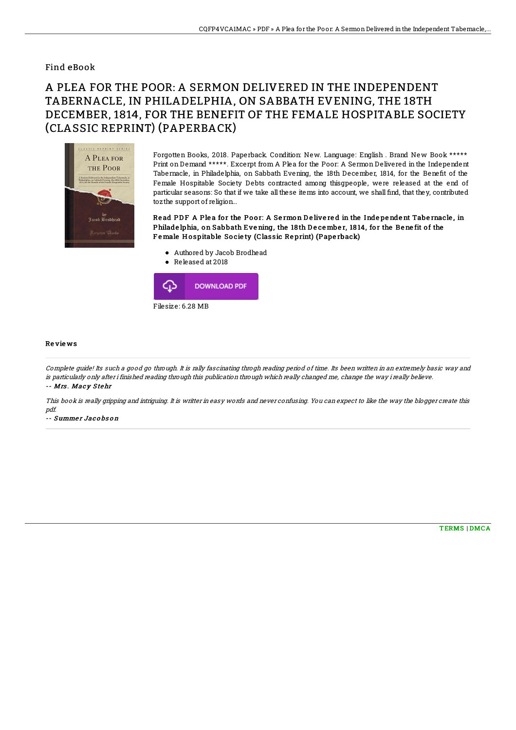## Find eBook

## A PLEA FOR THE POOR: A SERMON DELIVERED IN THE INDEPENDENT TABERNACLE, IN PHILADELPHIA, ON SABBATH EVENING, THE 18TH DECEMBER, 1814, FOR THE BENEFIT OF THE FEMALE HOSPITABLE SOCIETY (CLASSIC REPRINT) (PAPERBACK)



Forgotten Books, 2018. Paperback. Condition: New. Language: English . Brand New Book \*\*\*\*\* Print on Demand \*\*\*\*\*. Excerpt from A Plea for the Poor: A Sermon Delivered in the Independent Tabernacle, in Philadelphia, on Sabbath Evening, the 18th December, 1814, for the Benefit of the Female Hospitable Society Debts contracted among thisgpeople, were released at the end of particular seasons: So that if we take all these items into account, we shall find, that they, contributed tozthe support of religion...

Read PDF A Plea for the Poor: A Sermon Delivered in the Independent Tabernacle, in Philade lphia, on Sabbath Evening, the 18th December, 1814, for the Benefit of the Female Hospitable Society (Classic Reprint) (Paperback)

- Authored by Jacob Brodhead
- Released at 2018



## Re vie ws

Complete guide! Its such <sup>a</sup> good go through. It is rally fascinating throgh reading period of time. Its been written in an extremely basic way and is particularly only after i finished reading through this publication through which really changed me, change the way i really believe. -- Mrs. Macy Stehr

This book is really gripping and intriguing. It is writter in easy words and never confusing. You can expect to like the way the blogger create this pdf.

-- Summer Jacobson